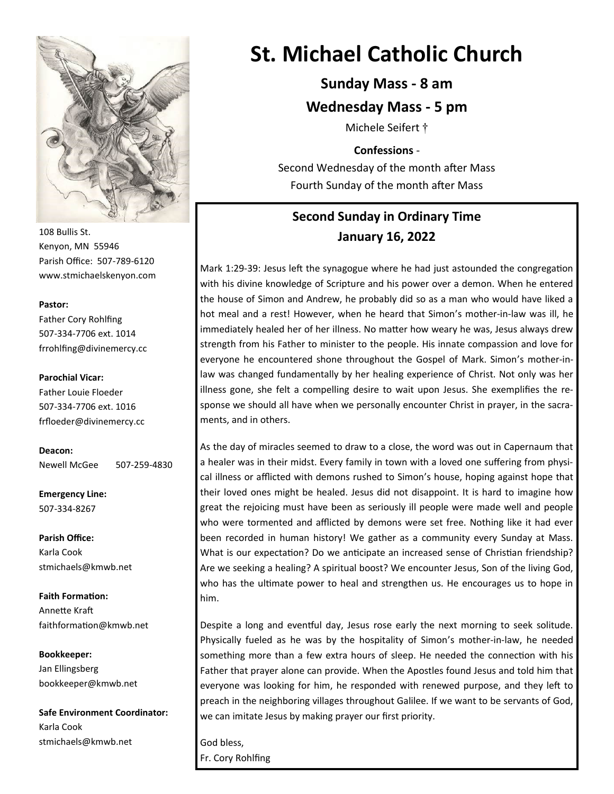

108 Bullis St. Kenyon, MN 55946 Parish Office: 507-789-6120 www.stmichaelskenyon.com

#### **Pastor:**

Father Cory Rohlfing 507-334-7706 ext. 1014 frrohlfing@divinemercy.cc

#### **Parochial Vicar:**

Father Louie Floeder 507-334-7706 ext. 1016 frfloeder@divinemercy.cc

**Deacon:**  Newell McGee 507-259-4830

**Emergency Line:** 507-334-8267

**Parish Office:**  Karla Cook stmichaels@kmwb.net

**Faith Formation:**  Annette Kraft faithformation@kmwb.net

**Bookkeeper:**  Jan Ellingsberg bookkeeper@kmwb.net

**Safe Environment Coordinator:** Karla Cook stmichaels@kmwb.net

# **St. Michael Catholic Church**

## **Sunday Mass - 8 am**

### **Wednesday Mass - 5 pm**

Michele Seifert †

#### **Confessions** -

Second Wednesday of the month after Mass Fourth Sunday of the month after Mass

# **Second Sunday in Ordinary Time January 16, 2022**

Mark 1:29-39: Jesus left the synagogue where he had just astounded the congregation with his divine knowledge of Scripture and his power over a demon. When he entered the house of Simon and Andrew, he probably did so as a man who would have liked a hot meal and a rest! However, when he heard that Simon's mother-in-law was ill, he immediately healed her of her illness. No matter how weary he was, Jesus always drew strength from his Father to minister to the people. His innate compassion and love for everyone he encountered shone throughout the Gospel of Mark. Simon's mother-inlaw was changed fundamentally by her healing experience of Christ. Not only was her illness gone, she felt a compelling desire to wait upon Jesus. She exemplifies the response we should all have when we personally encounter Christ in prayer, in the sacraments, and in others.

As the day of miracles seemed to draw to a close, the word was out in Capernaum that a healer was in their midst. Every family in town with a loved one suffering from physical illness or afflicted with demons rushed to Simon's house, hoping against hope that their loved ones might be healed. Jesus did not disappoint. It is hard to imagine how great the rejoicing must have been as seriously ill people were made well and people who were tormented and afflicted by demons were set free. Nothing like it had ever been recorded in human history! We gather as a community every Sunday at Mass. What is our expectation? Do we anticipate an increased sense of Christian friendship? Are we seeking a healing? A spiritual boost? We encounter Jesus, Son of the living God, who has the ultimate power to heal and strengthen us. He encourages us to hope in him.

Despite a long and eventful day, Jesus rose early the next morning to seek solitude. Physically fueled as he was by the hospitality of Simon's mother-in-law, he needed something more than a few extra hours of sleep. He needed the connection with his Father that prayer alone can provide. When the Apostles found Jesus and told him that everyone was looking for him, he responded with renewed purpose, and they left to preach in the neighboring villages throughout Galilee. If we want to be servants of God, we can imitate Jesus by making prayer our first priority.

God bless, Fr. Cory Rohlfing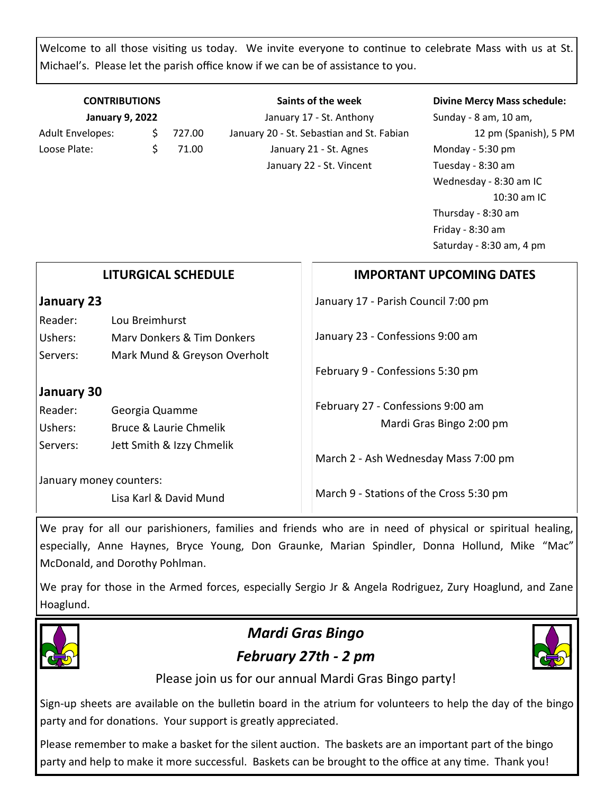Welcome to all those visiting us today. We invite everyone to continue to celebrate Mass with us at St. Michael's. Please let the parish office know if we can be of assistance to you.

### **CONTRIBUTIONS January 9, 2022**

Adult Envelopes:  $\frac{1}{2}$  727.00 Loose Plate:  $\angle$  \$ 71.00

**Saints of the week** January 17 - St. Anthony January 20 - St. Sebastian and St. Fabian January 21 - St. Agnes January 22 - St. Vincent

#### **Divine Mercy Mass schedule:**

Sunday - 8 am, 10 am, 12 pm (Spanish), 5 PM Monday - 5:30 pm Tuesday - 8:30 am Wednesday - 8:30 am IC 10:30 am IC Thursday - 8:30 am Friday - 8:30 am Saturday - 8:30 am, 4 pm

| <b>LITURGICAL SCHEDULE</b> |                              | <b>IMPORTANT UPCOMING DATES</b>         |
|----------------------------|------------------------------|-----------------------------------------|
| January 23                 |                              | January 17 - Parish Council 7:00 pm     |
| Reader:                    | Lou Breimhurst               |                                         |
| Ushers:                    | Mary Donkers & Tim Donkers   | January 23 - Confessions 9:00 am        |
| Servers:                   | Mark Mund & Greyson Overholt |                                         |
|                            |                              | February 9 - Confessions 5:30 pm        |
| January 30                 |                              |                                         |
| Reader:                    | Georgia Quamme               | February 27 - Confessions 9:00 am       |
| Ushers:                    | Bruce & Laurie Chmelik       | Mardi Gras Bingo 2:00 pm                |
| Servers:                   | Jett Smith & Izzy Chmelik    |                                         |
|                            |                              | March 2 - Ash Wednesday Mass 7:00 pm    |
| January money counters:    |                              |                                         |
|                            | Lisa Karl & David Mund       | March 9 - Stations of the Cross 5:30 pm |

We pray for all our parishioners, families and friends who are in need of physical or spiritual healing, especially, Anne Haynes, Bryce Young, Don Graunke, Marian Spindler, Donna Hollund, Mike "Mac" McDonald, and Dorothy Pohlman.

We pray for those in the Armed forces, especially Sergio Jr & Angela Rodriguez, Zury Hoaglund, and Zane Hoaglund.



# *Mardi Gras Bingo February 27th - 2 pm*



Please join us for our annual Mardi Gras Bingo party!

Sign-up sheets are available on the bulletin board in the atrium for volunteers to help the day of the bingo party and for donations. Your support is greatly appreciated.

Please remember to make a basket for the silent auction. The baskets are an important part of the bingo party and help to make it more successful. Baskets can be brought to the office at any time. Thank you!